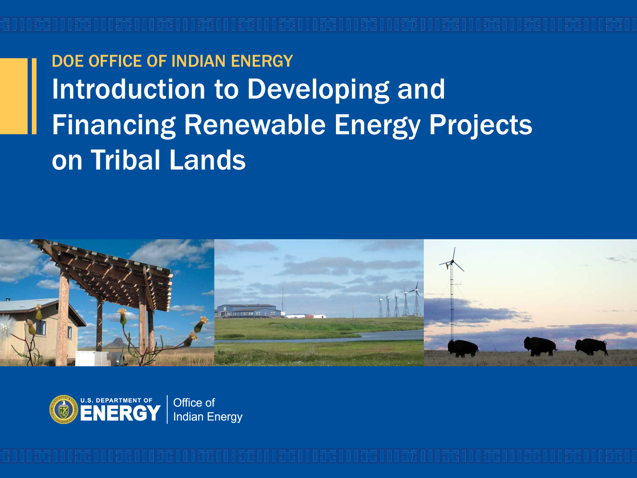DOE OFFICE OF INDIAN ENERGY Introduction to Developing and Financing Renewable Energy Projects on Tribal Lands



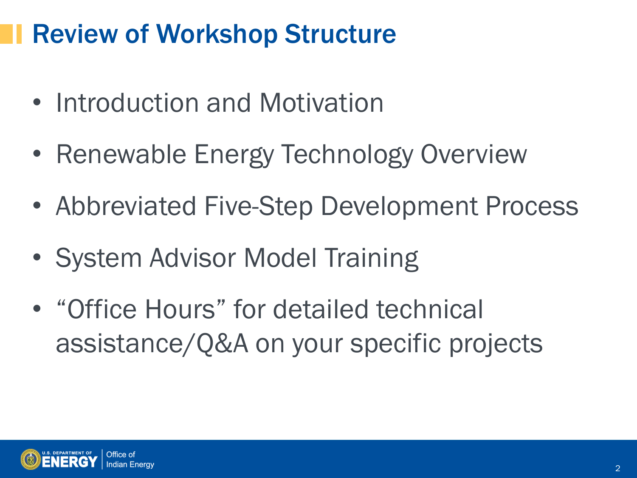# Review of Workshop Structure

- Introduction and Motivation
- Renewable Energy Technology Overview
- Abbreviated Five-Step Development Process
- System Advisor Model Training
- "Office Hours" for detailed technical assistance/Q&A on your specific projects

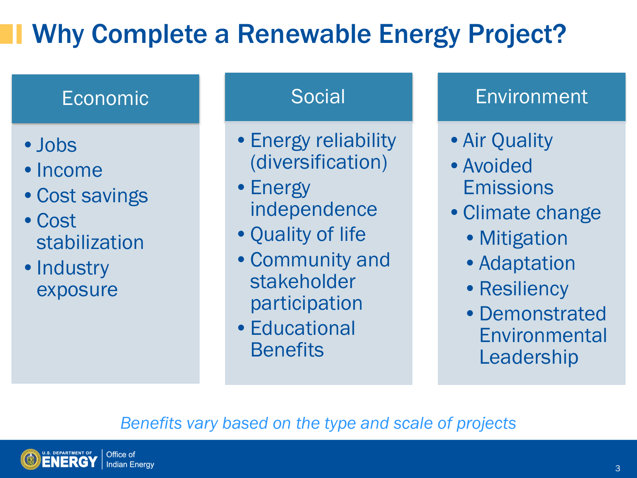# Why Complete a Renewable Energy Project?

## Economic

- •Jobs
- Income
- Cost savings
- •Cost stabilization
- Industry exposure

#### **Social**

- •Energy reliability (diversification)
- Energy independence
- •Quality of life
- •Community and stakeholder participation
- •Educational **Benefits**

## **Environment**

- •Air Quality
- •Avoided Emissions
- •Climate change
	- Mitigation
	- Adaptation
	- Resiliency
	- •Demonstrated **Environmental** Leadership

### *Benefits vary based on the type and scale of projects*

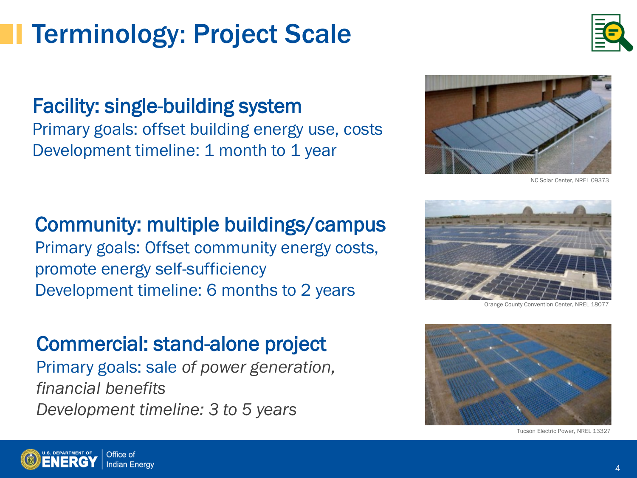# Terminology: Project Scale

## Facility: single-building system

Primary goals: offset building energy use, costs Development timeline: 1 month to 1 year

#### Community: multiple buildings/campus

Primary goals: Offset community energy costs, promote energy self-sufficiency Development timeline: 6 months to 2 years

### Commercial: stand-alone project

Primary goals: sale *of power generation, financial benefits Development timeline: 3 to 5 years*

> Office of **Indian Energy**



Orange County Convention Center, NREL





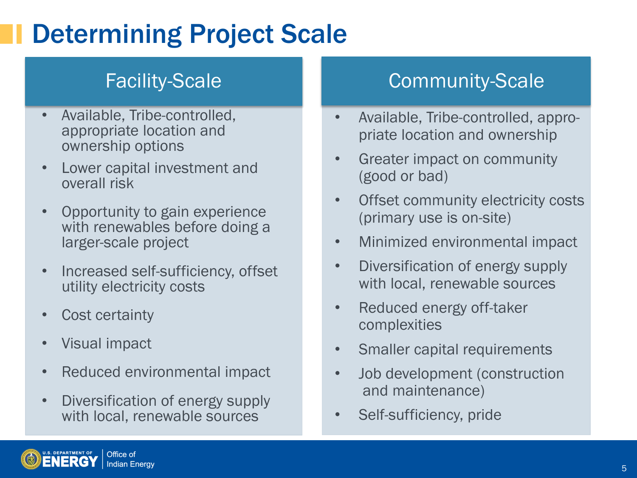# Determining Project Scale

- Available, Tribe-controlled, appropriate location and ownership options
- Lower capital investment and overall risk
- Opportunity to gain experience with renewables before doing a larger-scale project
- Increased self-sufficiency, offset utility electricity costs
- Cost certainty
- Visual impact
- Reduced environmental impact
- Diversification of energy supply with local, renewable sources

## Facility-Scale **Community-Scale**

- Available, Tribe-controlled, appropriate location and ownership
- Greater impact on community (good or bad)
- Offset community electricity costs (primary use is on-site)
- Minimized environmental impact
- Diversification of energy supply with local, renewable sources
- Reduced energy off-taker complexities
- Smaller capital requirements
- Job development (construction and maintenance)
- Self-sufficiency, pride

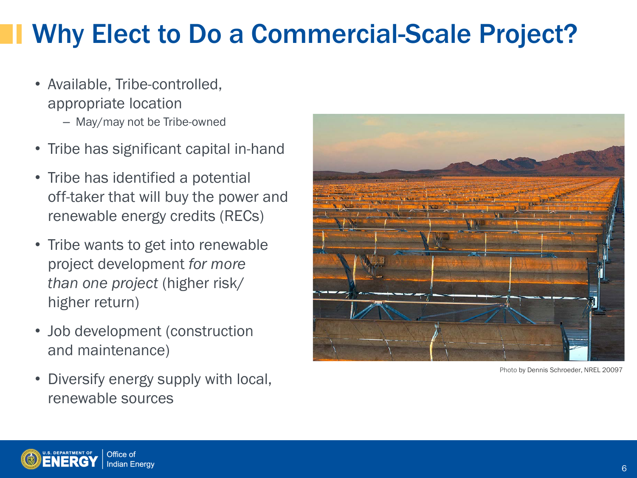# Why Elect to Do a Commercial-Scale Project?

- Available, Tribe-controlled, appropriate location – May/may not be Tribe-owned
- Tribe has significant capital in-hand
- Tribe has identified a potential off-taker that will buy the power and renewable energy credits (RECs)
- Tribe wants to get into renewable project development *for more than one project* (higher risk/ higher return)
- Job development (construction and maintenance)
- Diversify energy supply with local, renewable sources



Photo by Dennis Schroeder, NREL 20097